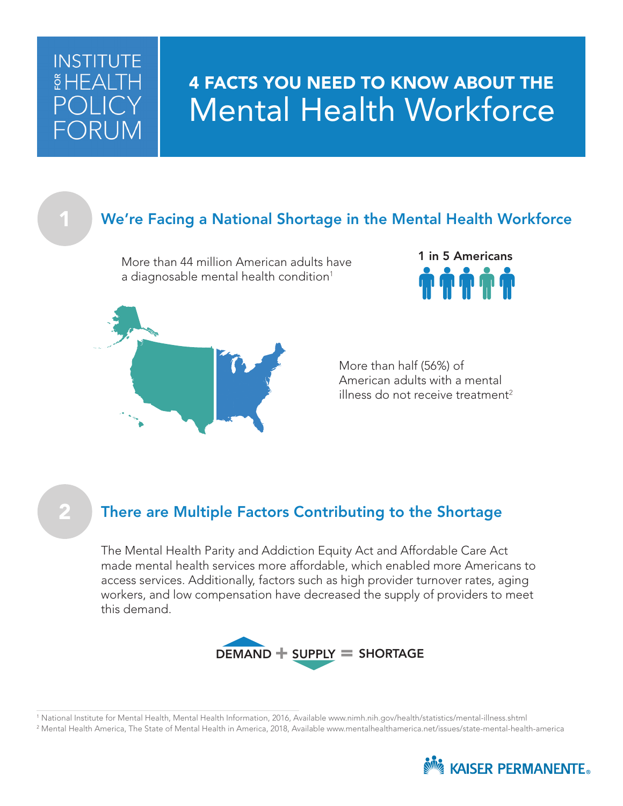# **INSTITUTE**  $$HFA1$

# 4 FACTS YOU NEED TO KNOW ABOUT THE Mental Health Workforce

# We're Facing a National Shortage in the Mental Health Workforce

More than 44 million American adults have a diagnosable mental health condition $^1$ 

1 in 5 Americans



More than half (56%) of American adults with a mental illness do not receive treatment $^2$ 

## There are Multiple Factors Contributing to the Shortage

The Mental Health Parity and Addiction Equity Act and Affordable Care Act made mental health services more affordable, which enabled more Americans to access services. Additionally, factors such as high provider turnover rates, aging workers, and low compensation have decreased the supply of providers to meet this demand.



1 National Institute for Mental Health, Mental Health Information, 2016, Available www.nimh.nih.gov/health/statistics/mental-illness.shtml 2 Mental Health America, The State of Mental Health in America, 2018, Available www.mentalhealthamerica.net/issues/state-mental-health-america